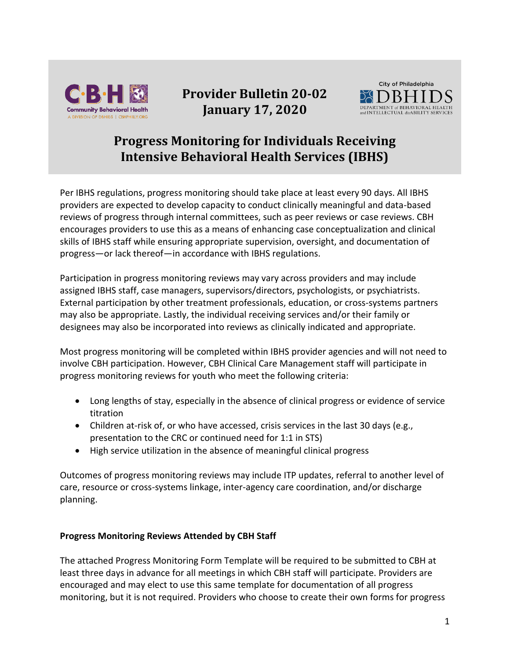

## **Provider Bulletin 20-02 January 17, 2020**



## **Progress Monitoring for Individuals Receiving Intensive Behavioral Health Services (IBHS)**

Per IBHS regulations, progress monitoring should take place at least every 90 days. All IBHS providers are expected to develop capacity to conduct clinically meaningful and data-based reviews of progress through internal committees, such as peer reviews or case reviews. CBH encourages providers to use this as a means of enhancing case conceptualization and clinical skills of IBHS staff while ensuring appropriate supervision, oversight, and documentation of progress—or lack thereof—in accordance with IBHS regulations.

Participation in progress monitoring reviews may vary across providers and may include assigned IBHS staff, case managers, supervisors/directors, psychologists, or psychiatrists. External participation by other treatment professionals, education, or cross-systems partners may also be appropriate. Lastly, the individual receiving services and/or their family or designees may also be incorporated into reviews as clinically indicated and appropriate.

Most progress monitoring will be completed within IBHS provider agencies and will not need to involve CBH participation. However, CBH Clinical Care Management staff will participate in progress monitoring reviews for youth who meet the following criteria:

- Long lengths of stay, especially in the absence of clinical progress or evidence of service titration
- Children at-risk of, or who have accessed, crisis services in the last 30 days (e.g., presentation to the CRC or continued need for 1:1 in STS)
- High service utilization in the absence of meaningful clinical progress

Outcomes of progress monitoring reviews may include ITP updates, referral to another level of care, resource or cross-systems linkage, inter-agency care coordination, and/or discharge planning.

## **Progress Monitoring Reviews Attended by CBH Staff**

The attached Progress Monitoring Form Template will be required to be submitted to CBH at least three days in advance for all meetings in which CBH staff will participate. Providers are encouraged and may elect to use this same template for documentation of all progress monitoring, but it is not required. Providers who choose to create their own forms for progress